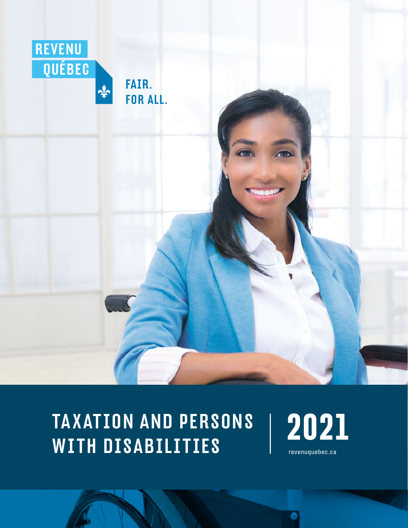

## TA X ATION AND PERSONS WITH DISABILITIES **Revenuguebec.ca**

**2021**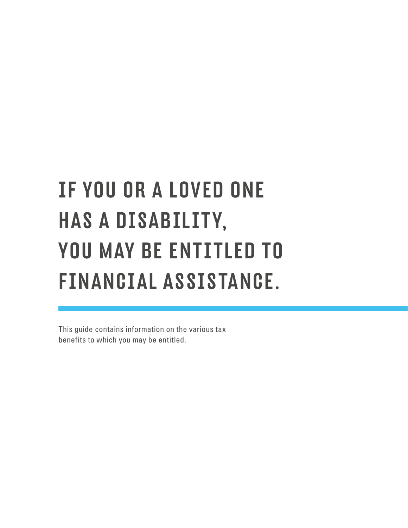# IF YOU OR A LOVED ONE HAS A DISABILITY, YOU MAY BE ENTITLED TO FINANCIAL ASSISTANCE.

This guide contains information on the various tax benefits to which you may be entitled.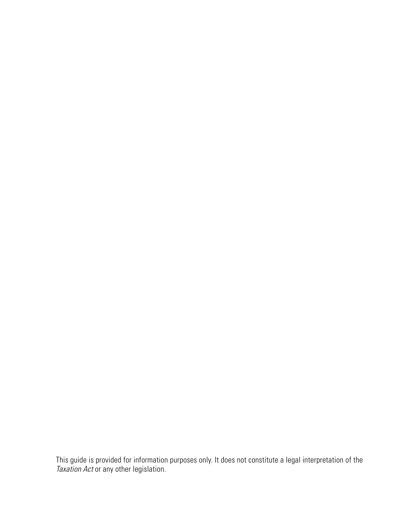This guide is provided for information purposes only. It does not constitute a legal interpretation of the **Taxation Act or any other legislation.**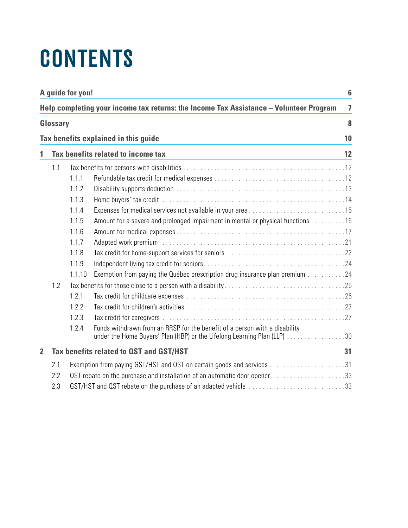# **CONTENTS**

| A guide for you!<br>6<br>Help completing your income tax returns: the Income Tax Assistance - Volunteer Program<br>$\overline{7}$ |     |        |                                                                                                                                                        |    |
|-----------------------------------------------------------------------------------------------------------------------------------|-----|--------|--------------------------------------------------------------------------------------------------------------------------------------------------------|----|
|                                                                                                                                   |     |        |                                                                                                                                                        |    |
|                                                                                                                                   |     |        | Tax benefits explained in this guide                                                                                                                   | 10 |
| 1                                                                                                                                 |     |        | Tax benefits related to income tax                                                                                                                     | 12 |
|                                                                                                                                   | 1.1 |        |                                                                                                                                                        |    |
|                                                                                                                                   |     | 1.1.1  |                                                                                                                                                        |    |
|                                                                                                                                   |     | 1.1.2  |                                                                                                                                                        |    |
|                                                                                                                                   |     | 1.1.3  |                                                                                                                                                        |    |
|                                                                                                                                   |     | 1.1.4  |                                                                                                                                                        |    |
|                                                                                                                                   |     | 1.1.5  | Amount for a severe and prolonged impairment in mental or physical functions 16                                                                        |    |
|                                                                                                                                   |     | 1.1.6  |                                                                                                                                                        |    |
|                                                                                                                                   |     | 1.1.7  |                                                                                                                                                        |    |
|                                                                                                                                   |     | 1.1.8  |                                                                                                                                                        |    |
|                                                                                                                                   |     | 1.1.9  |                                                                                                                                                        |    |
|                                                                                                                                   |     | 1.1.10 | Exemption from paying the Québec prescription drug insurance plan premium 24                                                                           |    |
|                                                                                                                                   | 1.2 |        |                                                                                                                                                        |    |
|                                                                                                                                   |     | 1.2.1  |                                                                                                                                                        |    |
|                                                                                                                                   |     | 1.2.2  |                                                                                                                                                        |    |
|                                                                                                                                   |     | 1.2.3  |                                                                                                                                                        |    |
|                                                                                                                                   |     | 1.2.4  | Funds withdrawn from an RRSP for the benefit of a person with a disability<br>under the Home Buyers' Plan (HBP) or the Lifelong Learning Plan (LLP) 30 |    |
| $\overline{2}$                                                                                                                    |     |        | Tax benefits related to QST and GST/HST                                                                                                                | 31 |
|                                                                                                                                   | 2.1 |        |                                                                                                                                                        |    |
|                                                                                                                                   | 2.2 |        | OST rebate on the purchase and installation of an automatic door opener 33                                                                             |    |
| 2.3<br>GST/HST and QST rebate on the purchase of an adapted vehicle 33                                                            |     |        |                                                                                                                                                        |    |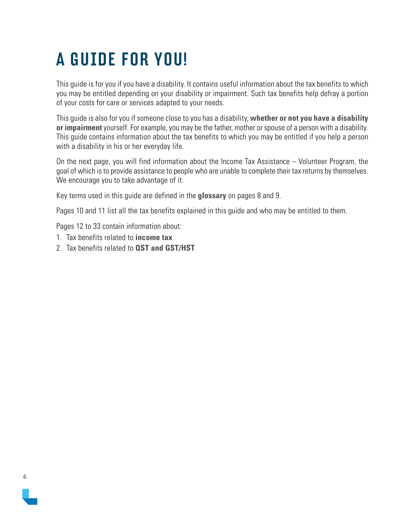### <span id="page-5-0"></span>A GUIDE FOR YOU!

This guide is for you if you have a disability. It contains useful information about the tax benefits to which you may be entitled depending on your disability or impairment. Such tax benefits help defray a portion of your costs for care or services adapted to your needs.

This guide is also for you if someone close to you has a disability, **whether or not you have a disability or impairment** yourself. For example, you may be the father, mother or spouse of a person with a disability. This guide contains information about the tax benefits to which you may be entitled if you help a person with a disability in his or her everyday life.

On the next page, you will find information about the Income Tax Assistance – Volunteer Program, the goal of which is to provide assistance to people who are unable to complete their tax returns by themselves. We encourage you to take advantage of it.

Key terms used in this guide are defined in the **glossary** on pages 8 and 9.

Pages 10 and 11 list all the tax benefits explained in this guide and who may be entitled to them.

Pages 12 to 33 contain information about:

- 1. Tax benefits related to **income tax**
- 2. Tax benefits related to **QST and GST/HST**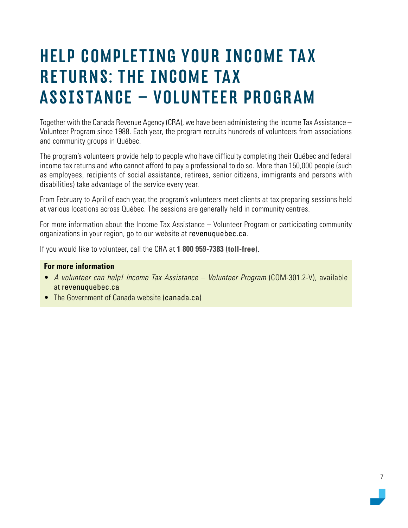### <span id="page-6-0"></span>HELP COMPLETING YOUR INCOME TA X RETURNS: THE INCOME TA X ASSISTANCE – VOLUNTEER PROGRAM

Together with the Canada Revenue Agency (CRA), we have been administering the Income Tax Assistance – Volunteer Program since 1988. Each year, the program recruits hundreds of volunteers from associations and community groups in Québec.

The program's volunteers provide help to people who have difficulty completing their Québec and federal income tax returns and who cannot afford to pay a professional to do so. More than 150,000 people (such as employees, recipients of social assistance, retirees, senior citizens, immigrants and persons with disabilities) take advantage of the service every year.

From February to April of each year, the program's volunteers meet clients at tax preparing sessions held at various locations across Québec. The sessions are generally held in community centres.

For more information about the Income Tax Assistance – Volunteer Program or participating community organizations in your region, go to our website at [revenuquebec.ca](https://www.revenuquebec.ca/en).

If you would like to volunteer, call the CRA at **1 800 959-7383 (toll-free)**.

- A volunteer can help! Income Tax Assistance Volunteer Program (COM-301.2-V), available at [revenuquebec.ca](https://www.revenuquebec.ca/en)
- The Government of Canada website ([canada.ca](https://www.canada.ca))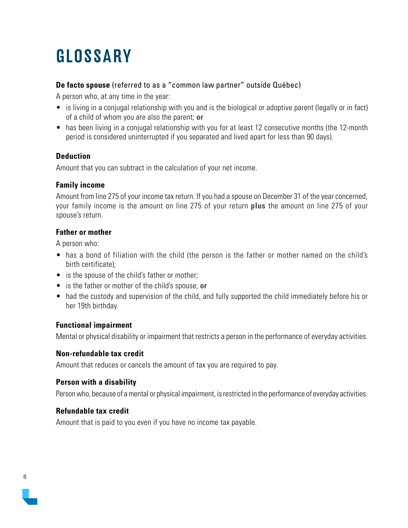### <span id="page-7-0"></span>GLOSSARY

#### **De facto spouse** (referred to as a "common law partner" outside Québec)

A person who, at any time in the year:

- is living in a conjugal relationship with you and is the biological or adoptive parent (legally or in fact) of a child of whom you are also the parent; **or**
- has been living in a conjugal relationship with you for at least 12 consecutive months (the 12-month period is considered uninterrupted if you separated and lived apart for less than 90 days).

#### **Deduction**

Amount that you can subtract in the calculation of your net income.

#### **Family income**

Amount from line 275 of your income tax return. If you had a spouse on December 31 of the year concerned, your family income is the amount on line 275 of your return **plus** the amount on line 275 of your spouse's return.

#### **Father or mother**

A person who:

- has a bond of filiation with the child (the person is the father or mother named on the child's birth certificate);
- is the spouse of the child's father or mother;
- is the father or mother of the child's spouse; **or**
- had the custody and supervision of the child, and fully supported the child immediately before his or her 19th birthday.

#### **Functional impairment**

Mental or physical disability or impairment that restricts a person in the performance of everyday activities.

#### **Non-refundable tax credit**

Amount that reduces or cancels the amount of tax you are required to pay.

#### **Person with a disability**

Person who, because of a mental or physical impairment, is restricted in the performance of everyday activities.

#### **Refundable tax credit**

Amount that is paid to you even if you have no income tax payable.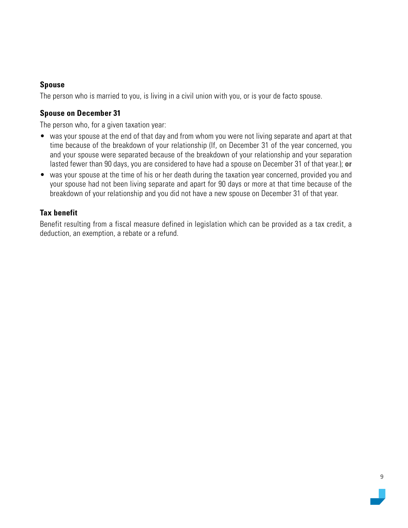#### **Spouse**

The person who is married to you, is living in a civil union with you, or is your de facto spouse.

#### **Spouse on December 31**

The person who, for a given taxation year:

- was your spouse at the end of that day and from whom you were not living separate and apart at that time because of the breakdown of your relationship (If, on December 31 of the year concerned, you and your spouse were separated because of the breakdown of your relationship and your separation lasted fewer than 90 days, you are considered to have had a spouse on December 31 of that year.); **or**
- was your spouse at the time of his or her death during the taxation year concerned, provided you and your spouse had not been living separate and apart for 90 days or more at that time because of the breakdown of your relationship and you did not have a new spouse on December 31 of that year.

#### **Tax benefit**

Benefit resulting from a fiscal measure defined in legislation which can be provided as a tax credit, a deduction, an exemption, a rebate or a refund.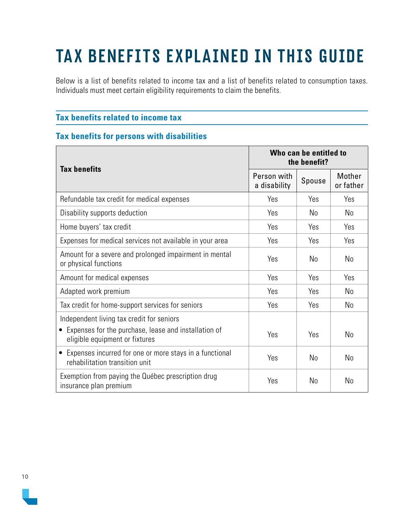## <span id="page-9-0"></span>TAX BENEFITS EXPLAINED IN THIS GUIDE

Below is a list of benefits related to income tax and a list of benefits related to consumption taxes. Individuals must meet certain eligibility requirements to claim the benefits.

#### **Tax benefits related to income tax**

#### **Tax benefits for persons with disabilities**

| <b>Tax benefits</b>                                                                                                                   |                             | Who can be entitled to<br>the benefit? |                     |
|---------------------------------------------------------------------------------------------------------------------------------------|-----------------------------|----------------------------------------|---------------------|
|                                                                                                                                       | Person with<br>a disability | Spouse                                 | Mother<br>or father |
| Refundable tax credit for medical expenses                                                                                            | Yes                         | Yes                                    | Yes                 |
| Disability supports deduction                                                                                                         | Yes                         | No                                     | No                  |
| Home buyers' tax credit                                                                                                               | Yes                         | Yes                                    | Yes                 |
| Expenses for medical services not available in your area                                                                              | Yes                         | Yes                                    | Yes                 |
| Amount for a severe and prolonged impairment in mental<br>or physical functions                                                       | Yes                         | N <sub>0</sub>                         | N <sub>0</sub>      |
| Amount for medical expenses                                                                                                           | Yes                         | Yes                                    | Yes                 |
| Adapted work premium                                                                                                                  | Yes                         | Yes                                    | No                  |
| Tax credit for home-support services for seniors                                                                                      | Yes                         | Yes                                    | No                  |
| Independent living tax credit for seniors<br>• Expenses for the purchase, lease and installation of<br>eligible equipment or fixtures | Yes                         | Yes                                    | N <sub>0</sub>      |
| Expenses incurred for one or more stays in a functional<br>$\bullet$<br>rehabilitation transition unit                                | Yes                         | No                                     | N <sub>0</sub>      |
| Exemption from paying the Québec prescription drug<br>insurance plan premium                                                          | Yes                         | No                                     | No                  |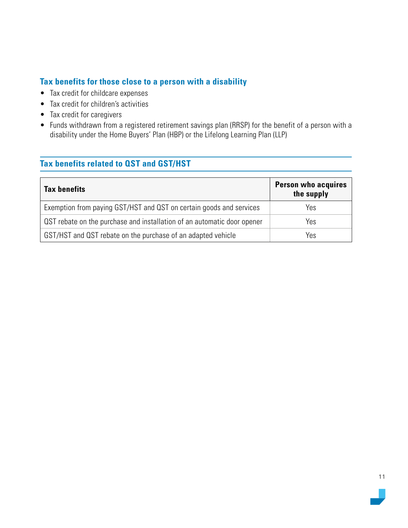#### **Tax benefits for those close to a person with a disability**

- Tax credit for childcare expenses
- Tax credit for children's activities
- Tax credit for caregivers
- Funds withdrawn from a registered retirement savings plan (RRSP) for the benefit of a person with a disability under the Home Buyers' Plan (HBP) or the Lifelong Learning Plan (LLP)

#### **Tax benefits related to QST and GST/HST**

| <b>Tax benefits</b>                                                     | <b>Person who acquires</b><br>the supply |
|-------------------------------------------------------------------------|------------------------------------------|
| Exemption from paying GST/HST and QST on certain goods and services     | Yes                                      |
| OST rebate on the purchase and installation of an automatic door opener | Yes                                      |
| GST/HST and QST rebate on the purchase of an adapted vehicle            | Yes                                      |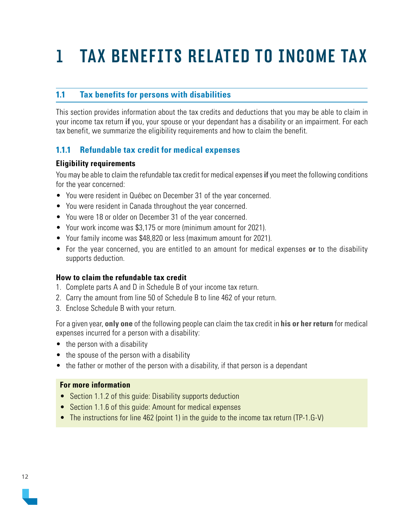## <span id="page-11-0"></span>1 TAX BENEFITS RELATED TO INCOME TAX

#### **1.1 Tax benefits for persons with disabilities**

This section provides information about the tax credits and deductions that you may be able to claim in your income tax return **if** you, your spouse or your dependant has a disability or an impairment. For each tax benefit, we summarize the eligibility requirements and how to claim the benefit.

#### **1.1.1 Refundable tax credit for medical expenses**

#### **Eligibility requirements**

You may be able to claim the refundable tax credit for medical expenses **if** you meet the following conditions for the year concerned:

- You were resident in Québec on December 31 of the year concerned.
- You were resident in Canada throughout the year concerned.
- You were 18 or older on December 31 of the year concerned.
- Your work income was \$3,175 or more (minimum amount for 2021).
- Your family income was \$48,820 or less (maximum amount for 2021).
- For the year concerned, you are entitled to an amount for medical expenses **or** to the disability supports deduction.

#### **How to claim the refundable tax credit**

- 1. Complete parts A and D in Schedule B of your income tax return.
- 2. Carry the amount from line 50 of Schedule B to line 462 of your return.
- 3. Enclose Schedule B with your return.

For a given year, **only one** of the following people can claim the tax credit in **his or her return** for medical expenses incurred for a person with a disability:

- the person with a disability
- the spouse of the person with a disability
- the father or mother of the person with a disability, if that person is a dependant

- Section 1.1.2 of this quide: Disability supports deduction
- Section 1.1.6 of this guide: Amount for medical expenses
- The instructions for line 462 (point 1) in the guide to the income tax return (TP-1.G-V)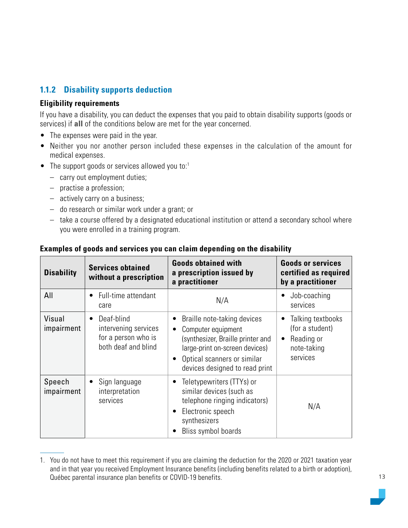#### <span id="page-12-0"></span>**1.1.2 Disability supports deduction**

#### **Eligibility requirements**

If you have a disability, you can deduct the expenses that you paid to obtain disability supports (goods or services) if **all** of the conditions below are met for the year concerned.

- The expenses were paid in the year.
- Neither you nor another person included these expenses in the calculation of the amount for medical expenses.
- The support goods or services allowed you to: $1$ 
	- carry out employment duties;
	- practise a profession;
	- actively carry on a business;
	- do research or similar work under a grant; or
	- take a course offered by a designated educational institution or attend a secondary school where you were enrolled in a training program.

| <b>Disability</b>    | <b>Services obtained</b><br>without a prescription                                            | <b>Goods obtained with</b><br>a prescription issued by<br>a practitioner                                                                                                                                            | <b>Goods or services</b><br>certified as required<br>by a practitioner        |
|----------------------|-----------------------------------------------------------------------------------------------|---------------------------------------------------------------------------------------------------------------------------------------------------------------------------------------------------------------------|-------------------------------------------------------------------------------|
| All                  | Full-time attendant<br>$\bullet$<br>care                                                      | N/A                                                                                                                                                                                                                 | Job-coaching<br>services                                                      |
| Visual<br>impairment | Deaf-blind<br>$\bullet$<br>intervening services<br>for a person who is<br>both deaf and blind | Braille note-taking devices<br>Computer equipment<br>$\bullet$<br>(synthesizer, Braille printer and<br>large-print on-screen devices)<br>Optical scanners or similar<br>$\bullet$<br>devices designed to read print | Talking textbooks<br>(for a student)<br>Reading or<br>note-taking<br>services |
| Speech<br>impairment | Sign language<br>$\bullet$<br>interpretation<br>services                                      | Teletypewriters (TTYs) or<br>similar devices (such as<br>telephone ringing indicators)<br>Electronic speech<br>synthesizers<br>Bliss symbol boards                                                                  | N/A                                                                           |

#### **Examples of goods and services you can claim depending on the disability**

<sup>1.</sup> You do not have to meet this requirement if you are claiming the deduction for the 2020 or 2021 taxation year and in that year you received Employment Insurance benefits (including benefits related to a birth or adoption), Québec parental insurance plan benefits or COVID-19 benefits.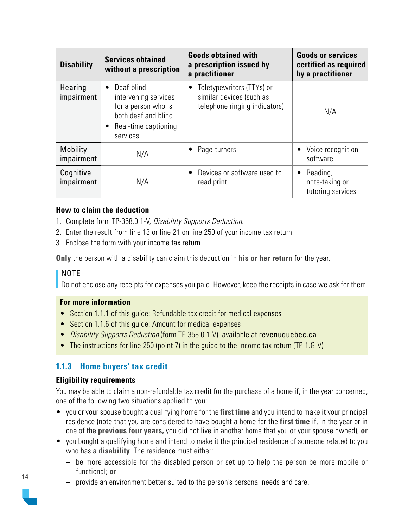<span id="page-13-0"></span>

| <b>Disability</b>             | <b>Services obtained</b><br>without a prescription                                                                                             | <b>Goods obtained with</b><br>a prescription issued by<br>a practitioner               | <b>Goods or services</b><br>certified as required<br>by a practitioner |
|-------------------------------|------------------------------------------------------------------------------------------------------------------------------------------------|----------------------------------------------------------------------------------------|------------------------------------------------------------------------|
| Hearing<br>impairment         | Deaf-blind<br>$\bullet$<br>intervening services<br>for a person who is<br>both deaf and blind<br>Real-time captioning<br>$\bullet$<br>services | Teletypewriters (TTYs) or<br>similar devices (such as<br>telephone ringing indicators) | N/A                                                                    |
| <b>Mobility</b><br>impairment | N/A                                                                                                                                            | Page-turners                                                                           | Voice recognition<br>software                                          |
| Cognitive<br>impairment       | N/A                                                                                                                                            | Devices or software used to<br>read print                                              | Reading,<br>note-taking or<br>tutoring services                        |

#### **How to claim the deduction**

- 1. Complete form TP-358.0.1-V, Disability Supports Deduction.
- 2. Enter the result from line 13 or line 21 on line 250 of your income tax return.
- 3. Enclose the form with your income tax return.

**Only** the person with a disability can claim this deduction in **his or her return** for the year.

#### I NOTE

Do not enclose any receipts for expenses you paid. However, keep the receipts in case we ask for them.

#### **For more information**

- Section 1.1.1 of this quide: Refundable tax credit for medical expenses
- Section 1.1.6 of this guide: Amount for medical expenses
- Disability Supports Deduction (form TP-358.0.1-V), available at [revenuquebec.ca](https://www.revenuquebec.ca/en)
- The instructions for line 250 (point 7) in the quide to the income tax return (TP-1.G-V)

#### **1.1.3 Home buyers' tax credit**

#### **Eligibility requirements**

You may be able to claim a non-refundable tax credit for the purchase of a home if, in the year concerned, one of the following two situations applied to you:

- you or your spouse bought a qualifying home for the **first time** and you intend to make it your principal residence (note that you are considered to have bought a home for the **first time** if, in the year or in one of the **previous four years,** you did not live in another home that you or your spouse owned); **or**
- you bought a qualifying home and intend to make it the principal residence of someone related to you who has a **disability**. The residence must either:
	- be more accessible for the disabled person or set up to help the person be more mobile or functional; **or**
	- provide an environment better suited to the person's personal needs and care.

![](_page_13_Picture_21.jpeg)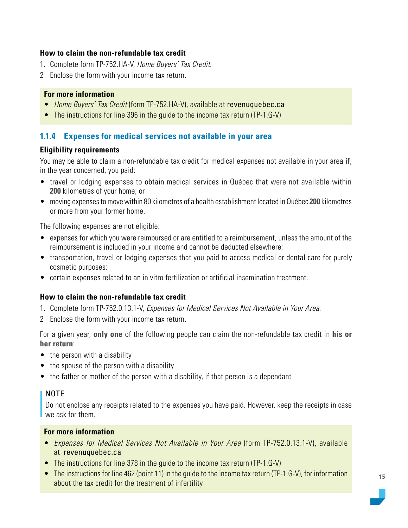#### <span id="page-14-0"></span>**How to claim the non-refundable tax credit**

- 1. Complete form TP-752.HA-V, Home Buyers' Tax Credit.
- 2 Enclose the form with your income tax return.

#### **For more information**

- Home Buyers' Tax Credit (form TP-752.HA-V), available at [revenuquebec.ca](https://www.revenuquebec.ca/en)
- The instructions for line 396 in the guide to the income tax return (TP-1.G-V)

#### **1.1.4 Expenses for medical services not available in your area**

#### **Eligibility requirements**

You may be able to claim a non-refundable tax credit for medical expenses not available in your area **if**, in the year concerned, you paid:

- travel or lodging expenses to obtain medical services in Québec that were not available within **200** kilometres of your home; or
- moving expenses to move within 80 kilometres of a health establishment located in Québec **200** kilometres or more from your former home.

The following expenses are not eligible:

- expenses for which you were reimbursed or are entitled to a reimbursement, unless the amount of the reimbursement is included in your income and cannot be deducted elsewhere;
- transportation, travel or lodging expenses that you paid to access medical or dental care for purely cosmetic purposes;
- certain expenses related to an in vitro fertilization or artificial insemination treatment.

#### **How to claim the non-refundable tax credit**

- 1. Complete form TP-752.0.13.1-V, Expenses for Medical Services Not Available in Your Area.
- 2 Enclose the form with your income tax return.

For a given year, **only one** of the following people can claim the non-refundable tax credit in **his or her return**:

- the person with a disability
- the spouse of the person with a disability
- the father or mother of the person with a disability, if that person is a dependant

#### NOTE

Do not enclose any receipts related to the expenses you have paid. However, keep the receipts in case we ask for them.

- Expenses for Medical Services Not Available in Your Area (form TP-752.0.13.1-V), available at [revenuquebec.ca](https://www.revenuquebec.ca/en)
- The instructions for line 378 in the guide to the income tax return (TP-1.G-V)
- The instructions for line 462 (point 11) in the guide to the income tax return (TP-1.G-V), for information about the tax credit for the treatment of infertility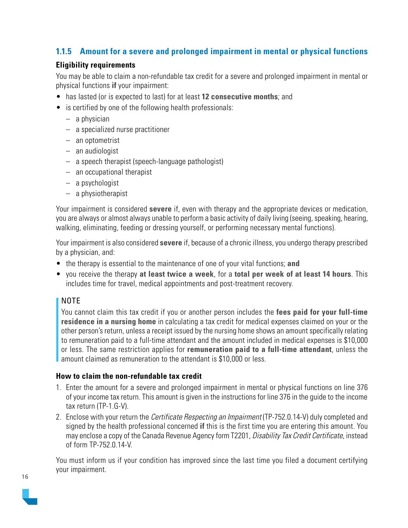#### <span id="page-15-0"></span>**1.1.5 Amount for a severe and prolonged impairment in mental or physical functions**

#### **Eligibility requirements**

You may be able to claim a non-refundable tax credit for a severe and prolonged impairment in mental or physical functions **if** your impairment:

- has lasted (or is expected to last) for at least **12 consecutive months**; and
- is certified by one of the following health professionals:
	- a physician
	- a specialized nurse practitioner
	- an optometrist
	- an audiologist
	- a speech therapist (speech-language pathologist)
	- an occupational therapist
	- a psychologist
	- a physiotherapist

Your impairment is considered **severe** if, even with therapy and the appropriate devices or medication, you are always or almost always unable to perform a basic activity of daily living (seeing, speaking, hearing, walking, eliminating, feeding or dressing yourself, or performing necessary mental functions).

Your impairment is also considered **severe** if, because of a chronic illness, you undergo therapy prescribed by a physician, and:

- the therapy is essential to the maintenance of one of your vital functions; **and**
- you receive the therapy **at least twice a week**, for a **total per week of at least 14 hours**. This includes time for travel, medical appointments and post-treatment recovery.

#### NOTE

You cannot claim this tax credit if you or another person includes the **fees paid for your full-time residence in a nursing home** in calculating a tax credit for medical expenses claimed on your or the other person's return, unless a receipt issued by the nursing home shows an amount specifically relating to remuneration paid to a full-time attendant and the amount included in medical expenses is \$10,000 or less. The same restriction applies for **remuneration paid to a full-time attendant**, unless the amount claimed as remuneration to the attendant is \$10,000 or less.

#### **How to claim the non-refundable tax credit**

- 1. Enter the amount for a severe and prolonged impairment in mental or physical functions on line 376 of your income tax return. This amount is given in the instructions for line 376 in the guide to the income tax return (TP-1.G-V).
- 2. Enclose with your return the *Certificate Respecting an Impairment* (TP-752.0.14-V) duly completed and signed by the health professional concerned **if** this is the first time you are entering this amount. You may enclose a copy of the Canada Revenue Agency form T2201, *Disability Tax Credit Certificate*, instead of form TP-752.0.14-V.

You must inform us if your condition has improved since the last time you filed a document certifying your impairment.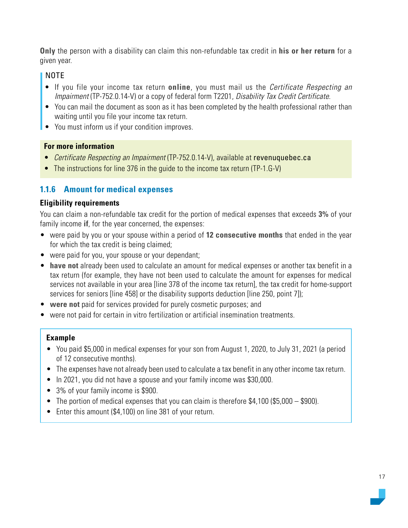<span id="page-16-0"></span>**Only** the person with a disability can claim this non-refundable tax credit in **his or her return** for a given year.

#### NOTE

- If you file your income tax return **online**, you must mail us the Certificate Respecting an Impairment (TP-752.0.14-V) or a copy of federal form T2201, Disability Tax Credit Certificate.
- You can mail the document as soon as it has been completed by the health professional rather than waiting until you file your income tax return.
- You must inform us if your condition improves.

#### **For more information**

- Certificate Respecting an Impairment (TP-752.0.14-V), available at [revenuquebec.ca](https://www.revenuquebec.ca/en)
- The instructions for line 376 in the quide to the income tax return (TP-1.G-V)

#### **1.1.6 Amount for medical expenses**

#### **Eligibility requirements**

You can claim a non-refundable tax credit for the portion of medical expenses that exceeds **3%** of your family income **if**, for the year concerned, the expenses:

- were paid by you or your spouse within a period of **12 consecutive months** that ended in the year for which the tax credit is being claimed;
- were paid for you, your spouse or your dependant;
- **have not** already been used to calculate an amount for medical expenses or another tax benefit in a tax return (for example, they have not been used to calculate the amount for expenses for medical services not available in your area [line 378 of the income tax return], the tax credit for home-support services for seniors [line 458] or the disability supports deduction [line 250, point 7]);
- **were not** paid for services provided for purely cosmetic purposes; and
- were not paid for certain in vitro fertilization or artificial insemination treatments.

#### **Example**

- You paid \$5,000 in medical expenses for your son from August 1, 2020, to July 31, 2021 (a period of 12 consecutive months).
- The expenses have not already been used to calculate a tax benefit in any other income tax return.
- In 2021, you did not have a spouse and your family income was \$30,000.
- 3% of your family income is \$900.
- The portion of medical expenses that you can claim is therefore \$4,100 (\$5,000 \$900).
- Enter this amount (\$4,100) on line 381 of your return.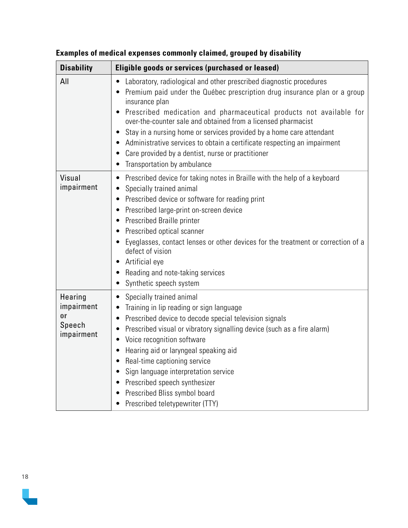| <b>Disability</b>                                   | Eligible goods or services (purchased or leased)                                                                                                                                                                                                                                                                                                                                                                                                                                                                                                                             |  |  |
|-----------------------------------------------------|------------------------------------------------------------------------------------------------------------------------------------------------------------------------------------------------------------------------------------------------------------------------------------------------------------------------------------------------------------------------------------------------------------------------------------------------------------------------------------------------------------------------------------------------------------------------------|--|--|
| All                                                 | Laboratory, radiological and other prescribed diagnostic procedures<br>$\bullet$<br>Premium paid under the Québec prescription drug insurance plan or a group<br>insurance plan<br>Prescribed medication and pharmaceutical products not available for<br>over-the-counter sale and obtained from a licensed pharmacist<br>Stay in a nursing home or services provided by a home care attendant<br>Administrative services to obtain a certificate respecting an impairment<br>Care provided by a dentist, nurse or practitioner<br>$\bullet$<br>Transportation by ambulance |  |  |
| Visual<br>impairment                                | Prescribed device for taking notes in Braille with the help of a keyboard<br>$\bullet$<br>Specially trained animal<br>Prescribed device or software for reading print<br>Prescribed large-print on-screen device<br>Prescribed Braille printer<br>Prescribed optical scanner<br>Eyeglasses, contact lenses or other devices for the treatment or correction of a<br>defect of vision<br>Artificial eye<br>Reading and note-taking services<br>Synthetic speech system                                                                                                        |  |  |
| Hearing<br>impairment<br>or<br>Speech<br>impairment | Specially trained animal<br>$\bullet$<br>Training in lip reading or sign language<br>Prescribed device to decode special television signals<br>٠<br>Prescribed visual or vibratory signalling device (such as a fire alarm)<br>٠<br>Voice recognition software<br>Hearing aid or laryngeal speaking aid<br>Real-time captioning service<br>Sign language interpretation service<br>Prescribed speech synthesizer<br>Prescribed Bliss symbol board<br>Prescribed teletypewriter (TTY)                                                                                         |  |  |

**Examples of medical expenses commonly claimed, grouped by disability**

18

 $\overline{\phantom{a}}$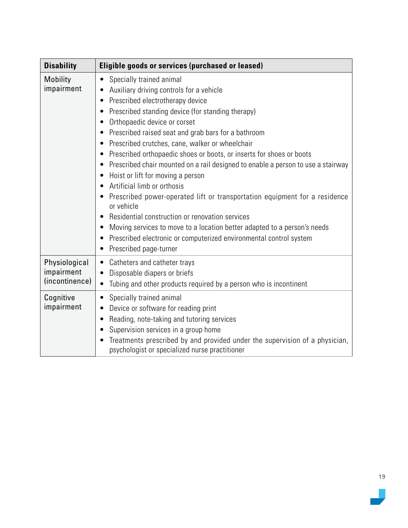| <b>Disability</b>                             | Eligible goods or services (purchased or leased)                                                                                                                                                                                                                                                                                                                                                                                                                                                                                                                                                                                                                                                                                                                                                                                                                                                          |  |  |
|-----------------------------------------------|-----------------------------------------------------------------------------------------------------------------------------------------------------------------------------------------------------------------------------------------------------------------------------------------------------------------------------------------------------------------------------------------------------------------------------------------------------------------------------------------------------------------------------------------------------------------------------------------------------------------------------------------------------------------------------------------------------------------------------------------------------------------------------------------------------------------------------------------------------------------------------------------------------------|--|--|
| <b>Mobility</b><br>impairment                 | Specially trained animal<br>$\bullet$<br>Auxiliary driving controls for a vehicle<br>Prescribed electrotherapy device<br>$\bullet$<br>Prescribed standing device (for standing therapy)<br>Orthopaedic device or corset<br>Prescribed raised seat and grab bars for a bathroom<br>Prescribed crutches, cane, walker or wheelchair<br>Prescribed orthopaedic shoes or boots, or inserts for shoes or boots<br>Prescribed chair mounted on a rail designed to enable a person to use a stairway<br>Hoist or lift for moving a person<br>Artificial limb or orthosis<br>Prescribed power-operated lift or transportation equipment for a residence<br>or vehicle<br>Residential construction or renovation services<br>Moving services to move to a location better adapted to a person's needs<br>Prescribed electronic or computerized environmental control system<br>Prescribed page-turner<br>$\bullet$ |  |  |
| Physiological<br>impairment<br>(incontinence) | Catheters and catheter trays<br>$\bullet$<br>Disposable diapers or briefs<br>$\bullet$<br>Tubing and other products required by a person who is incontinent<br>$\bullet$                                                                                                                                                                                                                                                                                                                                                                                                                                                                                                                                                                                                                                                                                                                                  |  |  |
| Cognitive<br>impairment                       | Specially trained animal<br>$\bullet$<br>Device or software for reading print<br>$\bullet$<br>Reading, note-taking and tutoring services<br>Supervision services in a group home<br>Treatments prescribed by and provided under the supervision of a physician,<br>psychologist or specialized nurse practitioner                                                                                                                                                                                                                                                                                                                                                                                                                                                                                                                                                                                         |  |  |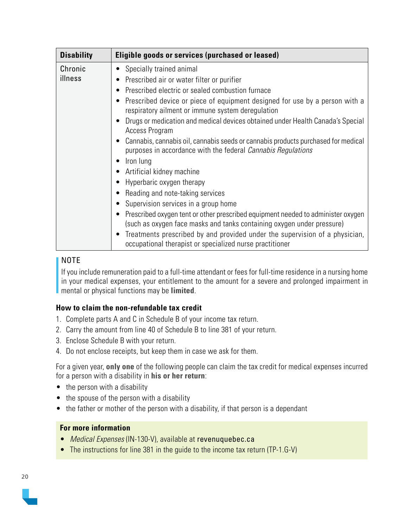| <b>Disability</b>  | Eligible goods or services (purchased or leased)                                                                                                                                                                                                                                                                                                                                                                                                                                                                                                                                                                                                                                                                                                                                                                                                                                                                                                                                                  |  |  |
|--------------------|---------------------------------------------------------------------------------------------------------------------------------------------------------------------------------------------------------------------------------------------------------------------------------------------------------------------------------------------------------------------------------------------------------------------------------------------------------------------------------------------------------------------------------------------------------------------------------------------------------------------------------------------------------------------------------------------------------------------------------------------------------------------------------------------------------------------------------------------------------------------------------------------------------------------------------------------------------------------------------------------------|--|--|
| Chronic<br>illness | Specially trained animal<br>Prescribed air or water filter or purifier<br>Prescribed electric or sealed combustion furnace<br>Prescribed device or piece of equipment designed for use by a person with a<br>respiratory ailment or immune system deregulation<br>Drugs or medication and medical devices obtained under Health Canada's Special<br><b>Access Program</b><br>Cannabis, cannabis oil, cannabis seeds or cannabis products purchased for medical<br>purposes in accordance with the federal <i>Cannabis Regulations</i><br>Iron lung<br>Artificial kidney machine<br>Hyperbaric oxygen therapy<br>Reading and note-taking services<br>Supervision services in a group home<br>Prescribed oxygen tent or other prescribed equipment needed to administer oxygen<br>(such as oxygen face masks and tanks containing oxygen under pressure)<br>Treatments prescribed by and provided under the supervision of a physician,<br>occupational therapist or specialized nurse practitioner |  |  |

#### NOTE

If you include remuneration paid to a full-time attendant or fees for full-time residence in a nursing home in your medical expenses, your entitlement to the amount for a severe and prolonged impairment in mental or physical functions may be **limited**.

#### **How to claim the non-refundable tax credit**

- 1. Complete parts A and C in Schedule B of your income tax return.
- 2. Carry the amount from line 40 of Schedule B to line 381 of your return.
- 3. Enclose Schedule B with your return.
- 4. Do not enclose receipts, but keep them in case we ask for them.

For a given year, **only one** of the following people can claim the tax credit for medical expenses incurred for a person with a disability in **his or her return**:

- the person with a disability
- the spouse of the person with a disability
- the father or mother of the person with a disability, if that person is a dependant

- Medical Expenses (IN-130-V), available at [revenuquebec.ca](https://www.revenuquebec.ca/en)
- The instructions for line 381 in the guide to the income tax return (TP-1.G-V)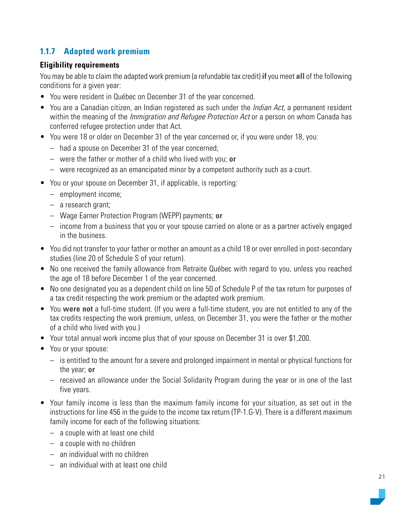#### <span id="page-20-0"></span>**1.1.7 Adapted work premium**

#### **Eligibility requirements**

You may be able to claim the adapted work premium (a refundable tax credit) **if** you meet **all** of the following conditions for a given year:

- You were resident in Québec on December 31 of the year concerned.
- You are a Canadian citizen, an Indian registered as such under the *Indian Act*, a permanent resident within the meaning of the *Immigration and Refugee Protection Act* or a person on whom Canada has conferred refugee protection under that Act.
- You were 18 or older on December 31 of the year concerned or, if you were under 18, you:
	- had a spouse on December 31 of the year concerned;
	- were the father or mother of a child who lived with you; **or**
	- were recognized as an emancipated minor by a competent authority such as a court.
- You or your spouse on December 31, if applicable, is reporting:
	- employment income;
	- a research grant;
	- Wage Earner Protection Program (WEPP) payments; **or**
	- income from a business that you or your spouse carried on alone or as a partner actively engaged in the business.
- You did not transfer to your father or mother an amount as a child 18 or over enrolled in post-secondary studies (line 20 of Schedule S of your return).
- No one received the family allowance from Retraite Québec with regard to you, unless you reached the age of 18 before December 1 of the year concerned.
- No one designated you as a dependent child on line 50 of Schedule P of the tax return for purposes of a tax credit respecting the work premium or the adapted work premium.
- You **were not** a full-time student. (If you were a full-time student, you are not entitled to any of the tax credits respecting the work premium, unless, on December 31, you were the father or the mother of a child who lived with you.)
- Your total annual work income plus that of your spouse on December 31 is over \$1,200.
- You or your spouse:
	- is entitled to the amount for a severe and prolonged impairment in mental or physical functions for the year; **or**
	- received an allowance under the Social Solidarity Program during the year or in one of the last five years.
- Your family income is less than the maximum family income for your situation, as set out in the instructions for line 456 in the guide to the income tax return (TP-1.G-V). There is a different maximum family income for each of the following situations:
	- a couple with at least one child
	- a couple with no children
	- an individual with no children
	- an individual with at least one child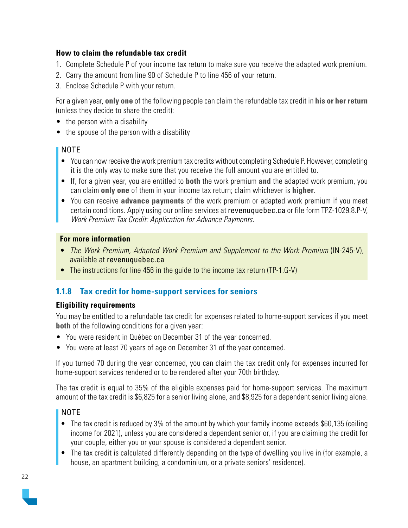#### <span id="page-21-0"></span>**How to claim the refundable tax credit**

- 1. Complete Schedule P of your income tax return to make sure you receive the adapted work premium.
- 2. Carry the amount from line 90 of Schedule P to line 456 of your return.
- 3. Enclose Schedule P with your return.

For a given year, **only one** of the following people can claim the refundable tax credit in **his or her return**  (unless they decide to share the credit):

- the person with a disability
- the spouse of the person with a disability

#### NOTE

- You can now receive the work premium tax credits without completing Schedule P. However, completing it is the only way to make sure that you receive the full amount you are entitled to.
- If, for a given year, you are entitled to **both** the work premium **and** the adapted work premium, you can claim **only one** of them in your income tax return; claim whichever is **higher**.
- You can receive **advance payments** of the work premium or adapted work premium if you meet certain conditions. Apply using our online services at [revenuquebec.ca](https://www.revenuquebec.ca/en) or file form TPZ-1029.8.P-V, Work Premium Tax Credit: Application for Advance Payments.

#### **For more information**

- The Work Premium, Adapted Work Premium and Supplement to the Work Premium (IN-245-V), available at [revenuquebec.ca](https://www.revenuquebec.ca/en)
- The instructions for line 456 in the guide to the income tax return (TP-1.G-V)

#### **1.1.8 Tax credit for home-support services for seniors**

#### **Eligibility requirements**

You may be entitled to a refundable tax credit for expenses related to home-support services if you meet **both** of the following conditions for a given year:

- You were resident in Québec on December 31 of the year concerned.
- You were at least 70 years of age on December 31 of the year concerned.

If you turned 70 during the year concerned, you can claim the tax credit only for expenses incurred for home-support services rendered or to be rendered after your 70th birthday.

The tax credit is equal to 35% of the eligible expenses paid for home-support services. The maximum amount of the tax credit is \$6,825 for a senior living alone, and \$8,925 for a dependent senior living alone.

#### NOTE

- The tax credit is reduced by 3% of the amount by which your family income exceeds \$60,135 (ceiling income for 2021), unless you are considered a dependent senior or, if you are claiming the credit for your couple, either you or your spouse is considered a dependent senior.
- The tax credit is calculated differently depending on the type of dwelling you live in (for example, a house, an apartment building, a condominium, or a private seniors' residence).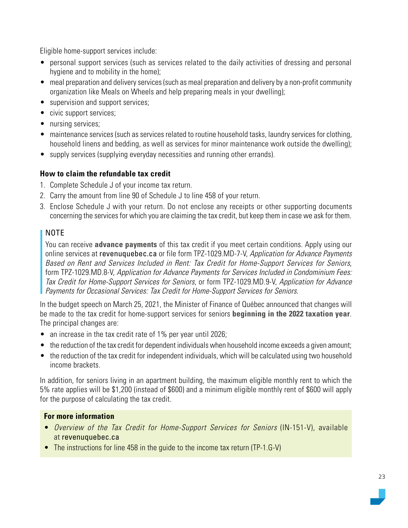Eligible home-support services include:

- personal support services (such as services related to the daily activities of dressing and personal hygiene and to mobility in the home);
- meal preparation and delivery services (such as meal preparation and delivery by a non-profit community organization like Meals on Wheels and help preparing meals in your dwelling);
- supervision and support services;
- civic support services;
- nursing services;
- maintenance services (such as services related to routine household tasks, laundry services for clothing, household linens and bedding, as well as services for minor maintenance work outside the dwelling);
- supply services (supplying everyday necessities and running other errands).

#### **How to claim the refundable tax credit**

- 1. Complete Schedule J of your income tax return.
- 2. Carry the amount from line 90 of Schedule J to line 458 of your return.
- 3. Enclose Schedule J with your return. Do not enclose any receipts or other supporting documents concerning the services for which you are claiming the tax credit, but keep them in case we ask for them.

#### NOTE

You can receive **advance payments** of this tax credit if you meet certain conditions. Apply using our online services at [revenuquebec.ca](https://www.revenuquebec.ca/en) or file form TPZ-1029.MD-7-V, Application for Advance Payments Based on Rent and Services Included in Rent: Tax Credit for Home-Support Services for Seniors, form TPZ-1029.MD.8-V, Application for Advance Payments for Services Included in Condominium Fees: Tax Credit for Home-Support Services for Seniors, or form TPZ-1029.MD.9-V, Application for Advance Payments for Occasional Services: Tax Credit for Home-Support Services for Seniors.

In the budget speech on March 25, 2021, the Minister of Finance of Québec announced that changes will be made to the tax credit for home-support services for seniors **beginning in the 2022 taxation year**. The principal changes are:

- an increase in the tax credit rate of 1% per year until 2026;
- the reduction of the tax credit for dependent individuals when household income exceeds a given amount;
- the reduction of the tax credit for independent individuals, which will be calculated using two household income brackets.

In addition, for seniors living in an apartment building, the maximum eligible monthly rent to which the 5% rate applies will be \$1,200 (instead of \$600) and a minimum eligible monthly rent of \$600 will apply for the purpose of calculating the tax credit.

- Overview of the Tax Credit for Home-Support Services for Seniors (IN-151-V), available at [revenuquebec.ca](https://www.revenuquebec.ca/en)
- The instructions for line 458 in the guide to the income tax return (TP-1.G-V)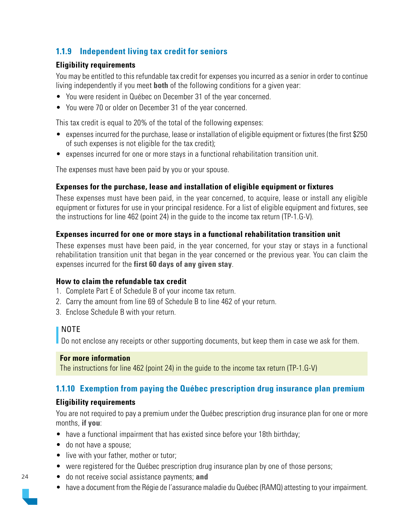#### <span id="page-23-0"></span>**1.1.9 Independent living tax credit for seniors**

#### **Eligibility requirements**

You may be entitled to this refundable tax credit for expenses you incurred as a senior in order to continue living independently if you meet **both** of the following conditions for a given year:

- You were resident in Québec on December 31 of the year concerned.
- You were 70 or older on December 31 of the year concerned.

This tax credit is equal to 20% of the total of the following expenses:

- expenses incurred for the purchase, lease or installation of eligible equipment or fixtures (the first \$250 of such expenses is not eligible for the tax credit);
- expenses incurred for one or more stays in a functional rehabilitation transition unit.

The expenses must have been paid by you or your spouse.

#### **Expenses for the purchase, lease and installation of eligible equipment or fixtures**

These expenses must have been paid, in the year concerned, to acquire, lease or install any eligible equipment or fixtures for use in your principal residence. For a list of eligible equipment and fixtures, see the instructions for line 462 (point 24) in the guide to the income tax return (TP-1.G-V).

#### **Expenses incurred for one or more stays in a functional rehabilitation transition unit**

These expenses must have been paid, in the year concerned, for your stay or stays in a functional rehabilitation transition unit that began in the year concerned or the previous year. You can claim the expenses incurred for the **first 60 days of any given stay**.

#### **How to claim the refundable tax credit**

- 1. Complete Part E of Schedule B of your income tax return.
- 2. Carry the amount from line 69 of Schedule B to line 462 of your return.
- 3. Enclose Schedule B with your return.

#### I NOTE

Do not enclose any receipts or other supporting documents, but keep them in case we ask for them.

#### **For more information**

The instructions for line 462 (point 24) in the guide to the income tax return (TP-1.G-V)

#### **1.1.10 Exemption from paying the Québec prescription drug insurance plan premium**

#### **Eligibility requirements**

You are not required to pay a premium under the Québec prescription drug insurance plan for one or more months, **if you**:

- have a functional impairment that has existed since before your 18th birthday;
- do not have a spouse:
- live with your father, mother or tutor;
- were registered for the Québec prescription drug insurance plan by one of those persons;
- do not receive social assistance payments; **and**
- have a document from the Régie de l'assurance maladie du Québec (RAMQ) attesting to your impairment.

![](_page_23_Picture_31.jpeg)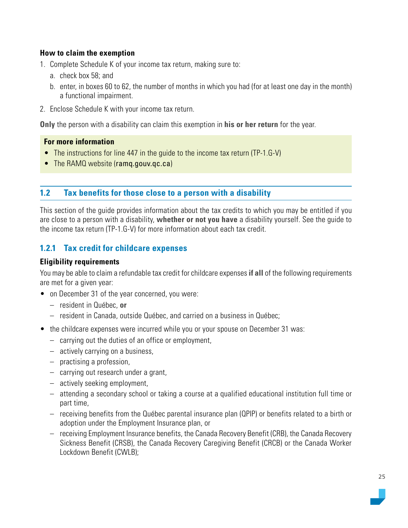#### <span id="page-24-0"></span>**How to claim the exemption**

- 1. Complete Schedule K of your income tax return, making sure to:
	- a. check box 58; and
	- b. enter, in boxes 60 to 62, the number of months in which you had (for at least one day in the month) a functional impairment.
- 2. Enclose Schedule K with your income tax return.

**Only** the person with a disability can claim this exemption in **his or her return** for the year.

#### **For more information**

- The instructions for line 447 in the guide to the income tax return (TP-1.G-V)
- The RAMQ website (ramq.gouv.gc.ca)

#### **1.2 Tax benefits for those close to a person with a disability**

This section of the guide provides information about the tax credits to which you may be entitled if you are close to a person with a disability, **whether or not you have** a disability yourself. See the guide to the income tax return (TP-1.G-V) for more information about each tax credit.

#### **1.2.1 Tax credit for childcare expenses**

#### **Eligibility requirements**

You may be able to claim a refundable tax credit for childcare expenses **if all** of the following requirements are met for a given year:

- on December 31 of the year concerned, you were:
	- resident in Québec, **or**
	- resident in Canada, outside Québec, and carried on a business in Québec;
- the childcare expenses were incurred while you or your spouse on December 31 was:
	- carrying out the duties of an office or employment,
	- actively carrying on a business,
	- practising a profession,
	- carrying out research under a grant,
	- actively seeking employment,
	- attending a secondary school or taking a course at a qualified educational institution full time or part time,
	- receiving benefits from the Québec parental insurance plan (QPIP) or benefits related to a birth or adoption under the Employment Insurance plan, or
	- receiving Employment Insurance benefits, the Canada Recovery Benefit (CRB), the Canada Recovery Sickness Benefit (CRSB), the Canada Recovery Caregiving Benefit (CRCB) or the Canada Worker Lockdown Benefit (CWLB);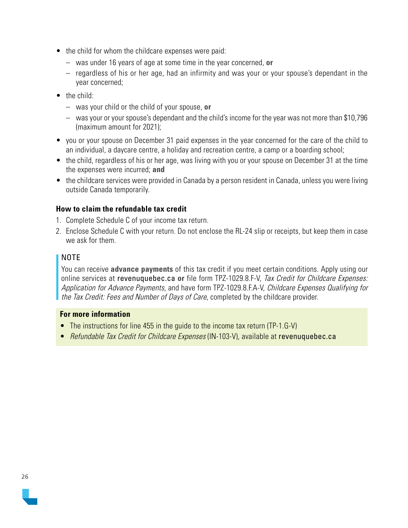- the child for whom the childcare expenses were paid:
	- was under 16 years of age at some time in the year concerned, **or**
	- regardless of his or her age, had an infirmity and was your or your spouse's dependant in the year concerned;
- the child:
	- was your child or the child of your spouse, **or**
	- was your or your spouse's dependant and the child's income for the year was not more than \$10,796 (maximum amount for 2021);
- you or your spouse on December 31 paid expenses in the year concerned for the care of the child to an individual, a daycare centre, a holiday and recreation centre, a camp or a boarding school;
- the child, regardless of his or her age, was living with you or your spouse on December 31 at the time the expenses were incurred; **and**
- the childcare services were provided in Canada by a person resident in Canada, unless you were living outside Canada temporarily.

#### **How to claim the refundable tax credit**

- 1. Complete Schedule C of your income tax return.
- 2. Enclose Schedule C with your return. Do not enclose the RL-24 slip or receipts, but keep them in case we ask for them.

#### NOTE

You can receive **advance payments** of this tax credit if you meet certain conditions. Apply using our online services at [revenuquebec.ca](https://www.revenuquebec.ca/en) **or** file form TPZ-1029.8.F-V, Tax Credit for Childcare Expenses: Application for Advance Payments, and have form TPZ-1029.8.F.A-V, Childcare Expenses Qualifying for the Tax Credit: Fees and Number of Days of Care, completed by the childcare provider.

- The instructions for line 455 in the guide to the income tax return (TP-1.G-V)
- Refundable Tax Credit for Childcare Expenses (IN-103-V), available at [revenuquebec.ca](https://www.revenuquebec.ca/en)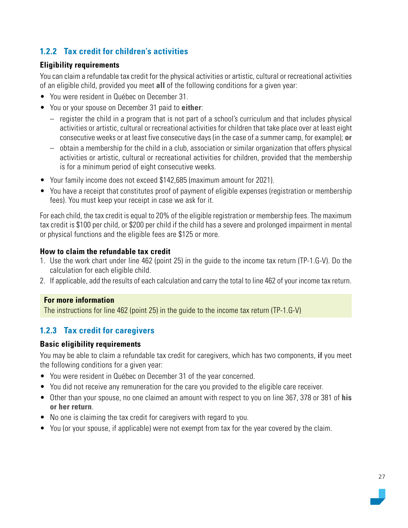#### <span id="page-26-0"></span>**1.2.2 Tax credit for children's activities**

#### **Eligibility requirements**

You can claim a refundable tax credit for the physical activities or artistic, cultural or recreational activities of an eligible child, provided you meet **all** of the following conditions for a given year:

- You were resident in Québec on December 31.
- You or your spouse on December 31 paid to **either**:
	- register the child in a program that is not part of a school's curriculum and that includes physical activities or artistic, cultural or recreational activities for children that take place over at least eight consecutive weeks or at least five consecutive days (in the case of a summer camp, for example); **or**
	- obtain a membership for the child in a club, association or similar organization that offers physical activities or artistic, cultural or recreational activities for children, provided that the membership is for a minimum period of eight consecutive weeks.
- Your family income does not exceed \$142,685 (maximum amount for 2021).
- You have a receipt that constitutes proof of payment of eligible expenses (registration or membership fees). You must keep your receipt in case we ask for it.

For each child, the tax credit is equal to 20% of the eligible registration or membership fees. The maximum tax credit is \$100 per child, or \$200 per child if the child has a severe and prolonged impairment in mental or physical functions and the eligible fees are \$125 or more.

#### **How to claim the refundable tax credit**

- 1. Use the work chart under line 462 (point 25) in the guide to the income tax return (TP-1.G-V). Do the calculation for each eligible child.
- 2. If applicable, add the results of each calculation and carry the total to line 462 of your income tax return.

#### **For more information**

The instructions for line 462 (point 25) in the guide to the income tax return (TP-1.G-V)

#### **1.2.3 Tax credit for caregivers**

#### **Basic eligibility requirements**

You may be able to claim a refundable tax credit for caregivers, which has two components, **if** you meet the following conditions for a given year:

- You were resident in Québec on December 31 of the year concerned.
- You did not receive any remuneration for the care you provided to the eligible care receiver.
- Other than your spouse, no one claimed an amount with respect to you on line 367, 378 or 381 of **his or her return**.
- No one is claiming the tax credit for caregivers with regard to you.
- You (or your spouse, if applicable) were not exempt from tax for the year covered by the claim.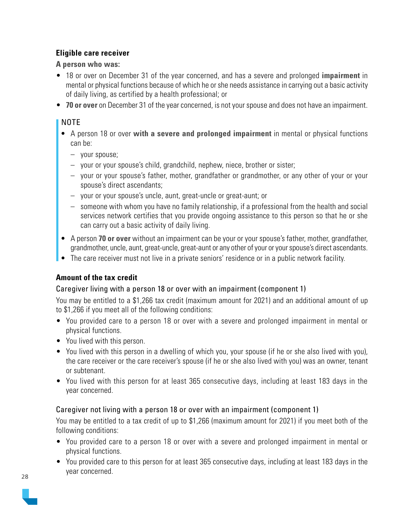#### **Eligible care receiver**

**A person who was:**

- 18 or over on December 31 of the year concerned, and has a severe and prolonged **impairment** in mental or physical functions because of which he or she needs assistance in carrying out a basic activity of daily living, as certified by a health professional; or
- **70 or over** on December 31 of the year concerned, is not your spouse and does not have an impairment.

#### NOTE

- A person 18 or over **with a severe and prolonged impairment** in mental or physical functions can be:
	- your spouse;
	- your or your spouse's child, grandchild, nephew, niece, brother or sister;
	- your or your spouse's father, mother, grandfather or grandmother, or any other of your or your spouse's direct ascendants;
	- your or your spouse's uncle, aunt, great-uncle or great-aunt; or
	- someone with whom you have no family relationship, if a professional from the health and social services network certifies that you provide ongoing assistance to this person so that he or she can carry out a basic activity of daily living.
- A person **70 or over** without an impairment can be your or your spouse's father, mother, grandfather, grandmother, uncle, aunt, great-uncle, great-aunt or any other of your or your spouse's direct ascendants.
- The care receiver must not live in a private seniors' residence or in a public network facility.

#### **Amount of the tax credit**

#### Caregiver living with a person 18 or over with an impairment (component 1)

You may be entitled to a \$1,266 tax credit (maximum amount for 2021) and an additional amount of up to \$1,266 if you meet all of the following conditions:

- You provided care to a person 18 or over with a severe and prolonged impairment in mental or physical functions.
- You lived with this person.
- You lived with this person in a dwelling of which you, your spouse (if he or she also lived with you), the care receiver or the care receiver's spouse (if he or she also lived with you) was an owner, tenant or subtenant.
- You lived with this person for at least 365 consecutive days, including at least 183 days in the year concerned.

#### Caregiver not living with a person 18 or over with an impairment (component 1)

You may be entitled to a tax credit of up to \$1,266 (maximum amount for 2021) if you meet both of the following conditions:

- You provided care to a person 18 or over with a severe and prolonged impairment in mental or physical functions.
- You provided care to this person for at least 365 consecutive days, including at least 183 days in the year concerned.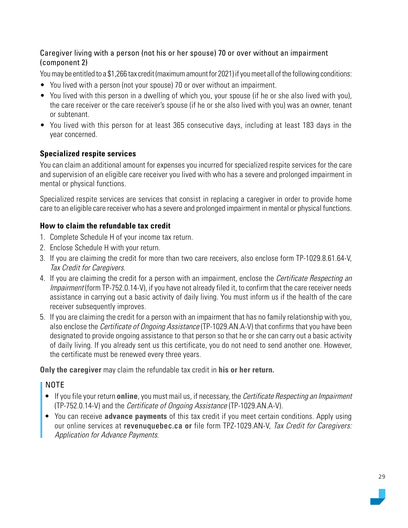#### Caregiver living with a person (not his or her spouse) 70 or over without an impairment (component 2)

You may be entitled to a \$1,266 tax credit (maximum amount for 2021) if you meet all of the following conditions:

- You lived with a person (not your spouse) 70 or over without an impairment.
- You lived with this person in a [dwelling](https://www.revenuquebec.ca/en/definitions/dwelling/?refrq=citizens) of which you, your spouse (if he or she also lived with you), the care receiver or the care receiver's spouse (if he or she also lived with you) was an owner, tenant or subtenant.
- You lived with this person for at least 365 consecutive days, including at least 183 days in the year concerned.

#### **Specialized respite services**

You can claim an additional amount for expenses you incurred for specialized respite services for the care and supervision of an eligible care receiver you lived with who has a severe and prolonged impairment in mental or physical functions.

Specialized respite services are services that consist in replacing a caregiver in order to provide home care to an eligible care receiver who has a severe and prolonged impairment in mental or physical functions.

#### **How to claim the refundable tax credit**

- 1. Complete Schedule H of your income tax return.
- 2. Enclose Schedule H with your return.
- 3. If you are claiming the credit for more than two care receivers, also enclose form TP-1029.8.61.64-V, Tax Credit for Caregivers.
- 4. If you are claiming the credit for a person with an impairment, enclose the *Certificate Respecting an* Impairment (form TP-752.0.14-V), if you have not already filed it, to confirm that the care receiver needs assistance in carrying out a basic activity of daily living. You must inform us if the health of the care receiver subsequently improves.
- 5. If you are claiming the credit for a person with an impairment that has no family relationship with you, also enclose the *Certificate of Ongoing Assistance* (TP-1029.AN.A-V) that confirms that you have been designated to provide ongoing assistance to that person so that he or she can carry out a basic activity of daily living. If you already sent us this certificate, you do not need to send another one. However, the certificate must be renewed every three years.

**Only the caregiver** may claim the refundable tax credit in **his or her return.**

#### NOTE

- If you file your return **online**, you must mail us, if necessary, the Certificate Respecting an Impairment (TP-752.0.14-V) and the Certificate of Ongoing Assistance (TP-1029.AN.A-V).
- You can receive **advance payments** of this tax credit if you meet certain conditions. Apply using our online services at [revenuquebec.ca](https://www.revenuquebec.ca/en) **or** file form TPZ-1029.AN-V, Tax Credit for Caregivers: Application for Advance Payments.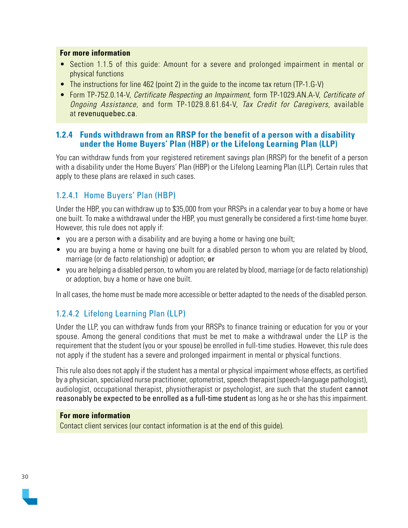#### <span id="page-29-0"></span>**For more information**

- Section 1.1.5 of this guide: Amount for a severe and prolonged impairment in mental or physical functions
- The instructions for line 462 (point 2) in the quide to the income tax return (TP-1.G-V)
- Form TP-752.0.14-V, Certificate Respecting an Impairment, form TP-1029.AN.A-V, Certificate of Ongoing Assistance, and form TP-1029.8.61.64-V, Tax Credit for Caregivers, available at [revenuquebec.ca](https://www.revenuquebec.ca/en).

#### **1.2.4 Funds withdrawn from an RRSP for the benefit of a person with a disability under the Home Buyers' Plan (HBP) or the Lifelong Learning Plan (LLP)**

You can withdraw funds from your registered retirement savings plan (RRSP) for the benefit of a person with a disability under the Home Buyers' Plan (HBP) or the Lifelong Learning Plan (LLP). Certain rules that apply to these plans are relaxed in such cases.

#### 1.2.4.1 Home Buyers' Plan (HBP)

Under the HBP, you can withdraw up to \$35,000 from your RRSPs in a calendar year to buy a home or have one built. To make a withdrawal under the HBP, you must generally be considered a first-time home buyer. However, this rule does not apply if:

- you are a person with a disability and are buying a home or having one built;
- you are buying a home or having one built for a disabled person to whom you are related by blood, marriage (or de facto relationship) or adoption; **or**
- you are helping a disabled person, to whom you are related by blood, marriage (or de facto relationship) or adoption, buy a home or have one built.

In all cases, the home must be made more accessible or better adapted to the needs of the disabled person.

#### 1.2.4.2 Lifelong Learning Plan (LLP)

Under the LLP, you can withdraw funds from your RRSPs to finance training or education for you or your spouse. Among the general conditions that must be met to make a withdrawal under the LLP is the requirement that the student (you or your spouse) be enrolled in full-time studies. However, this rule does not apply if the student has a severe and prolonged impairment in mental or physical functions.

This rule also does not apply if the student has a mental or physical impairment whose effects, as certified by a physician, specialized nurse practitioner, optometrist, speech therapist (speech-language pathologist), audiologist, occupational therapist, physiotherapist or psychologist, are such that the student cannot reasonably be expected to be enrolled as a full-time student as long as he or she has this impairment.

#### **For more information**

Contact client services (our contact information is at the end of this guide).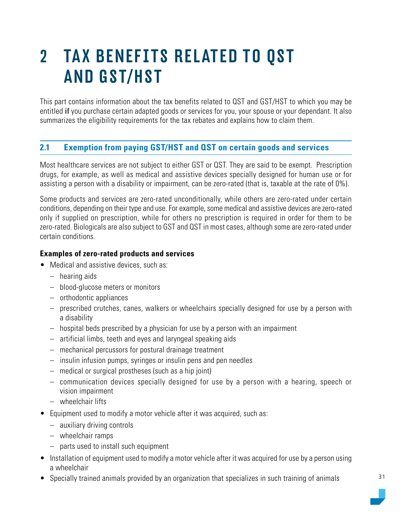### <span id="page-30-0"></span>2 TAX BENEFITS RELATED TO QST AND GST/HST

This part contains information about the tax benefits related to QST and GST/HST to which you may be entitled **if** you purchase certain adapted goods or services for you, your spouse or your dependant. It also summarizes the eligibility requirements for the tax rebates and explains how to claim them.

#### **2.1 Exemption from paying GST/HST and QST on certain goods and services**

Most healthcare services are not subject to either GST or QST. They are said to be exempt. Prescription drugs, for example, as well as medical and assistive devices specially designed for human use or for assisting a person with a disability or impairment, can be zero-rated (that is, taxable at the rate of 0%).

Some products and services are zero-rated unconditionally, while others are zero-rated under certain conditions, depending on their type and use. For example, some medical and assistive devices are zero-rated only if supplied on prescription, while for others no prescription is required in order for them to be zero-rated. Biologicals are also subject to GST and QST in most cases, although some are zero-rated under certain conditions.

#### **Examples of zero-rated products and services**

- Medical and assistive devices, such as:
	- hearing aids
	- blood-glucose meters or monitors
	- orthodontic appliances
	- prescribed crutches, canes, walkers or wheelchairs specially designed for use by a person with a disability
	- hospital beds prescribed by a physician for use by a person with an impairment
	- artificial limbs, teeth and eyes and laryngeal speaking aids
	- mechanical percussors for postural drainage treatment
	- insulin infusion pumps, syringes or insulin pens and pen needles
	- medical or surgical prostheses (such as a hip joint)
	- communication devices specially designed for use by a person with a hearing, speech or vision impairment
	- wheelchair lifts
- Equipment used to modify a motor vehicle after it was acquired, such as:
	- auxiliary driving controls
	- wheelchair ramps
	- parts used to install such equipment
- Installation of equipment used to modify a motor vehicle after it was acquired for use by a person using a wheelchair
- Specially trained animals provided by an organization that specializes in such training of animals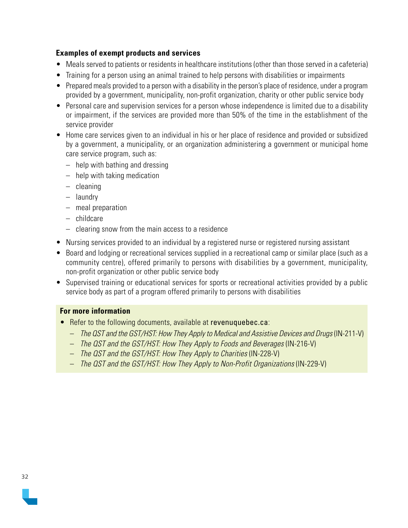#### **Examples of exempt products and services**

- Meals served to patients or residents in healthcare institutions (other than those served in a cafeteria)
- Training for a person using an animal trained to help persons with disabilities or impairments
- Prepared meals provided to a person with a disability in the person's place of residence, under a program provided by a government, municipality, non-profit organization, charity or other public service body
- Personal care and supervision services for a person whose independence is limited due to a disability or impairment, if the services are provided more than 50% of the time in the establishment of the service provider
- Home care services given to an individual in his or her place of residence and provided or subsidized by a government, a municipality, or an organization administering a government or municipal home care service program, such as:
	- help with bathing and dressing
	- help with taking medication
	- cleaning
	- laundry
	- meal preparation
	- childcare
	- clearing snow from the main access to a residence
- Nursing services provided to an individual by a registered nurse or registered nursing assistant
- Board and lodging or recreational services supplied in a recreational camp or similar place (such as a community centre), offered primarily to persons with disabilities by a government, municipality, non-profit organization or other public service body
- Supervised training or educational services for sports or recreational activities provided by a public service body as part of a program offered primarily to persons with disabilities

- Refer to the following documents, available at [revenuquebec.ca](https://www.revenuquebec.ca/en):
	- The QST and the GST/HST: How They Apply to Medical and Assistive Devices and Drugs (IN-211-V)
	- The QST and the GST/HST: How They Apply to Foods and Beverages (IN-216-V)
	- The QST and the GST/HST: How They Apply to Charities (IN-228-V)
	- The QST and the GST/HST: How They Apply to Non-Profit Organizations (IN-229-V)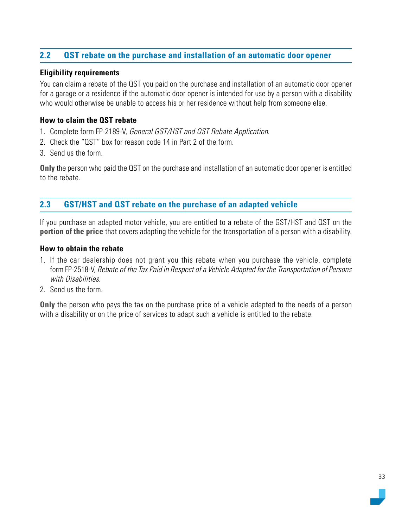#### <span id="page-32-0"></span>**2.2 QST rebate on the purchase and installation of an automatic door opener**

#### **Eligibility requirements**

You can claim a rebate of the QST you paid on the purchase and installation of an automatic door opener for a garage or a residence **if** the automatic door opener is intended for use by a person with a disability who would otherwise be unable to access his or her residence without help from someone else.

#### **How to claim the QST rebate**

- 1. Complete form FP-2189-V, General GST/HST and QST Rebate Application.
- 2. Check the "QST" box for reason code 14 in Part 2 of the form.
- 3. Send us the form.

**Only** the person who paid the QST on the purchase and installation of an automatic door opener is entitled to the rebate.

#### **2.3 GST/HST and QST rebate on the purchase of an adapted vehicle**

If you purchase an adapted motor vehicle, you are entitled to a rebate of the GST/HST and QST on the **portion of the price** that covers adapting the vehicle for the transportation of a person with a disability.

#### **How to obtain the rebate**

- 1. If the car dealership does not grant you this rebate when you purchase the vehicle, complete form FP-2518-V, Rebate of the Tax Paid in Respect of a Vehicle Adapted for the Transportation of Persons with Disabilities.
- 2. Send us the form.

**Only** the person who pays the tax on the purchase price of a vehicle adapted to the needs of a person with a disability or on the price of services to adapt such a vehicle is entitled to the rebate.